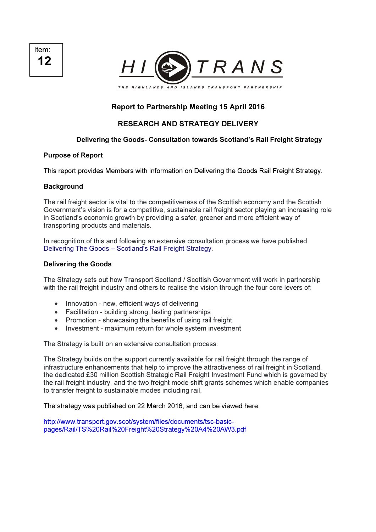Item: 12



# Report to Partnership Meeting 15 April 2016

# RESEARCH AND STRATEGY DELIVERY

# Delivering the Goods- Consultation towards Scotland's Rail Freight Strategy

## Purpose of Report

This report provides Members with information on Delivering the Goods Rail Freight Strategy.

# **Background**

The rail freight sector is vital to the competitiveness of the Scottish economy and the Scottish Government's vision is for a competitive, sustainable rail freight sector playing an increasing role in Scotland's economic growth by providing a safer, greener and more efficient way of transporting products and materials.

In recognition of this and following an extensive consultation process we have published Delivering The Goods – Scotland's Rail Freight Strategy.

# Delivering the Goods

The Strategy sets out how Transport Scotland / Scottish Government will work in partnership with the rail freight industry and others to realise the vision through the four core levers of:

- Innovation new, efficient ways of delivering
- Facilitation building strong, lasting partnerships
- Promotion showcasing the benefits of using rail freight
- Investment maximum return for whole system investment

The Strategy is built on an extensive consultation process.

The Strategy builds on the support currently available for rail freight through the range of infrastructure enhancements that help to improve the attractiveness of rail freight in Scotland, the dedicated £30 million Scottish Strategic Rail Freight Investment Fund which is governed by the rail freight industry, and the two freight mode shift grants schemes which enable companies to transfer freight to sustainable modes including rail.

The strategy was published on 22 March 2016, and can be viewed here:

http://www.transport.gov.scot/system/files/documents/tsc-basicpages/Rail/TS%20Rail%20Freight%20Strategy%20A4%20AW3.pdf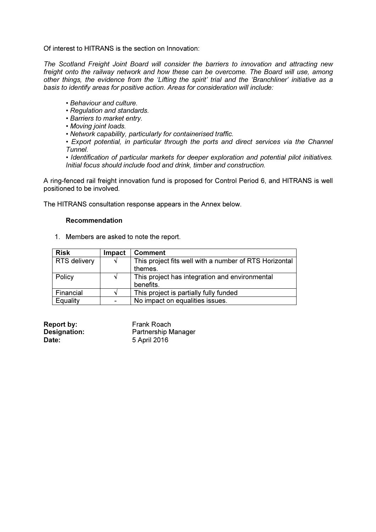Of interest to HITRANS is the section on Innovation:

*The Scotland Freight Joint Board will consider the barriers to innovation and attracting new*  freight onto the railway network and how these can be overcome. The Board will use, among *other things, the evidence from the 'Lifting the spirit' trial and the 'Branchliner' initiative as a basis to identify areas for positive action. Areas for consideration will include:* 

- *Behaviour and culture.*
- *Regulation and standards.*
- *Barriers to market entry.*
- *Moving joint loads.*
- *Network capability, particularly for containerised traffic.*

*• Export potential, in particular through the ports and direct services via the Channel Tunnel.* 

*• Identification of particular markets for deeper exploration and potential pilot initiatives. Initial focus should include food and drink, timber and construction.* 

A ring-fenced rail freight innovation fund is proposed for Control Period 6, and HITRANS is well positioned to be involved.

The HITRANS consultation response appears in the Annex below.

## Recommendation

1. Members are asked to note the report.

| <b>Risk</b>         | <b>Impact</b> | <b>Comment</b>                                                    |
|---------------------|---------------|-------------------------------------------------------------------|
| <b>RTS delivery</b> |               | This project fits well with a number of RTS Horizontal<br>themes. |
| Policy              |               | This project has integration and environmental<br>benefits.       |
| Financial           |               | This project is partially fully funded                            |
| Equality            |               | No impact on equalities issues.                                   |

| <b>Report by:</b> | Frank Roach                |
|-------------------|----------------------------|
| Designation:      | <b>Partnership Manager</b> |
| Date:             | 5 April 2016               |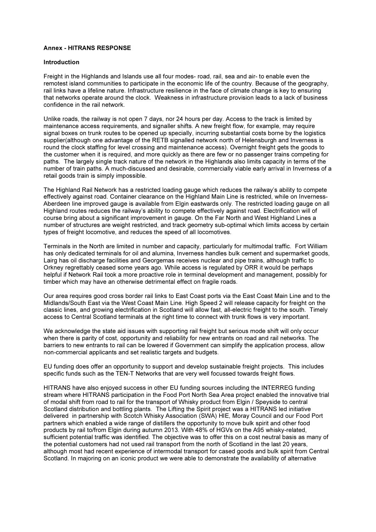#### Annex - HITRANS RESPONSE

#### Introduction

Freight in the Highlands and Islands use all four modes- road, rail, sea and air- to enable even the remotest island communities to participate in the economic life of the country. Because of the geography, rail links have a lifeline nature. Infrastructure resilience in the face of climate change is key to ensuring that networks operate around the clock. Weakness in infrastructure provision leads to a lack of business confidence in the rail network.

Unlike roads, the railway is not open 7 days, nor 24 hours per day. Access to the track is limited by maintenance access requirements, and signaller shifts. A new freight flow, for example, may require signal boxes on trunk routes to be opened up specially, incurring substantial costs borne by the logistics supplier(although one advantage of the RETB signalled network north of Helensburgh and Inverness is round the clock staffing for level crossing and maintenance access). Overnight freight gets the goods to the customer when it is required, and more quickly as there are few or no passenger trains competing for paths. The largely single track nature of the network in the Highlands also limits capacity in terms of the number of train paths. A much-discussed and desirable, commercially viable early arrival in Inverness of a retail goods train is simply impossible.

The Highland Rail Network has a restricted loading gauge which reduces the railway's ability to compete effectively against road. Container clearance on the Highland Main Line is restricted, while on Inverness-Aberdeen line improved gauge is available from Elgin eastwards only. The restricted loading gauge on all Highland routes reduces the railway's ability to compete effectively against road. Electrification will of course bring about a significant improvement in gauge. On the Far North and West Highland Lines a number of structures are weight restricted, and track geometry sub-optimal which limits access by certain types of freight locomotive, and reduces the speed of all locomotives.

Terminals in the North are limited in number and capacity, particularly for multimodal traffic. Fort William has only dedicated terminals for oil and alumina, Inverness handles bulk cement and supermarket goods, Lairg has oil discharge facilities and Georgemas receives nuclear and pipe trains, although traffic to Orkney regrettably ceased some years ago. While access is regulated by ORR it would be perhaps helpful if Network Rail took a more proactive role in terminal development and management, possibly for timber which may have an otherwise detrimental effect on fragile roads.

Our area requires good cross border rail links to East Coast ports via the East Coast Main Line and to the Midlands/South East via the West Coast Main Line. High Speed 2 will release capacity for freight on the classic lines, and growing electrification in Scotland will allow fast, all-electric freight to the south. Timely access to Central Scotland terminals at the right time to connect with trunk flows is very important.

We acknowledge the state aid issues with supporting rail freight but serious mode shift will only occur when there is parity of cost, opportunity and reliability for new entrants on road and rail networks. The barriers to new entrants to rail can be lowered if Government can simplify the application process, allow non-commercial applicants and set realistic targets and budgets.

EU funding does offer an opportunity to support and develop sustainable freight projects. This includes specific funds such as the TEN-T Networks that are very well focussed towards freight flows.

HITRANS have also enjoyed success in other EU funding sources including the INTERREG funding stream where HITRANS participation in the Food Port North Sea Area project enabled the innovative trial of modal shift from road to rail for the transport of Whisky product from Elgin / Speyside to central Scotland distribution and bottling plants. The Lifting the Spirit project was a HITRANS led initiative delivered in partnership with Scotch Whisky Association (SWA) HIE, Moray Council and our Food Port partners which enabled a wide range of distillers the opportunity to move bulk spirit and other food products by rail to/from Elgin during autumn 2013. With 48% of HGVs on the A95 whisky-related, sufficient potential traffic was identified. The objective was to offer this on a cost neutral basis as many of the potential customers had not used rail transport from the north of Scotland in the last 20 years, although most had recent experience of intermodal transport for cased goods and bulk spirit from Central Scotland. In majoring on an iconic product we were able to demonstrate the availability of alternative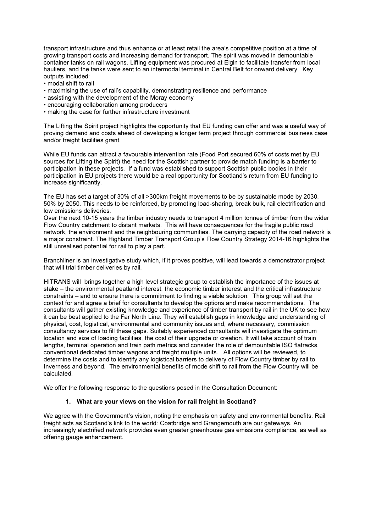transport infrastructure and thus enhance or at least retail the area's competitive position at a time of growing transport costs and increasing demand for transport. The spirit was moved in demountable container tanks on rail wagons. Lifting equipment was procured at Elgin to facilitate transfer from local hauliers, and the tanks were sent to an intermodal terminal in Central Belt for onward delivery. Key outputs included:

- modal shift to rail
- maximising the use of rail's capability, demonstrating resilience and performance
- assisting with the development of the Moray economy
- encouraging collaboration among producers
- making the case for further infrastructure investment

The Lifting the Spirit project highlights the opportunity that EU funding can offer and was a useful way of proving demand and costs ahead of developing a longer term project through commercial business case and/or freight facilities grant.

While EU funds can attract a favourable intervention rate (Food Port secured 60% of costs met by EU sources for Lifting the Spirit) the need for the Scottish partner to provide match funding is a barrier to participation in these projects. If a fund was established to support Scottish public bodies in their participation in EU projects there would be a real opportunity for Scotland's return from EU funding to increase significantly.

The EU has set a target of 30% of all >300km freight movements to be by sustainable mode by 2030, 50% by 2050. This needs to be reinforced, by promoting load-sharing, break bulk, rail electrification and low emissions deliveries.

Over the next 10-15 years the timber industry needs to transport 4 million tonnes of timber from the wider Flow Country catchment to distant markets. This will have consequences for the fragile public road network, the environment and the neighbouring communities. The carrying capacity of the road network is a major constraint. The Highland Timber Transport Group's Flow Country Strategy 2014-16 highlights the still unrealised potential for rail to play a part.

Branchliner is an investigative study which, if it proves positive, will lead towards a demonstrator project that will trial timber deliveries by rail.

HITRANS will brings together a high level strategic group to establish the importance of the issues at stake – the environmental peatland interest, the economic timber interest and the critical infrastructure constraints – and to ensure there is commitment to finding a viable solution. This group will set the context for and agree a brief for consultants to develop the options and make recommendations. The consultants will gather existing knowledge and experience of timber transport by rail in the UK to see how it can be best applied to the Far North Line. They will establish gaps in knowledge and understanding of physical, cost, logistical, environmental and community issues and, where necessary, commission consultancy services to fill these gaps. Suitably experienced consultants will investigate the optimum location and size of loading facilities, the cost of their upgrade or creation. It will take account of train lengths, terminal operation and train path metrics and consider the role of demountable ISO flatracks, conventional dedicated timber wagons and freight multiple units. All options will be reviewed, to determine the costs and to identify any logistical barriers to delivery of Flow Country timber by rail to Inverness and beyond. The environmental benefits of mode shift to rail from the Flow Country will be calculated.

We offer the following response to the questions posed in the Consultation Document:

#### 1. What are your views on the vision for rail freight in Scotland?

We agree with the Government's vision, noting the emphasis on safety and environmental benefits. Rail freight acts as Scotland's link to the world: Coatbridge and Grangemouth are our gateways. An increasingly electrified network provides even greater greenhouse gas emissions compliance, as well as offering gauge enhancement.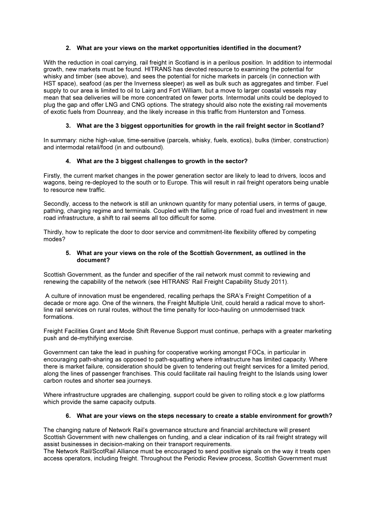### 2. What are your views on the market opportunities identified in the document?

With the reduction in coal carrying, rail freight in Scotland is in a perilous position. In addition to intermodal growth, new markets must be found. HITRANS has devoted resource to examining the potential for whisky and timber (see above), and sees the potential for niche markets in parcels (in connection with HST space), seafood (as per the Inverness sleeper) as well as bulk such as aggregates and timber. Fuel supply to our area is limited to oil to Lairg and Fort William, but a move to larger coastal vessels may mean that sea deliveries will be more concentrated on fewer ports. Intermodal units could be deployed to plug the gap and offer LNG and CNG options. The strategy should also note the existing rail movements of exotic fuels from Dounreay, and the likely increase in this traffic from Hunterston and Torness.

## 3. What are the 3 biggest opportunities for growth in the rail freight sector in Scotland?

In summary: niche high-value, time-sensitive (parcels, whisky, fuels, exotics), bulks (timber, construction) and intermodal retail/food (in and outbound).

#### 4. What are the 3 biggest challenges to growth in the sector?

Firstly, the current market changes in the power generation sector are likely to lead to drivers, locos and wagons, being re-deployed to the south or to Europe. This will result in rail freight operators being unable to resource new traffic.

Secondly, access to the network is still an unknown quantity for many potential users, in terms of gauge, pathing, charging regime and terminals. Coupled with the falling price of road fuel and investment in new road infrastructure, a shift to rail seems all too difficult for some.

Thirdly, how to replicate the door to door service and commitment-lite flexibility offered by competing modes?

#### 5. What are your views on the role of the Scottish Government, as outlined in the document?

Scottish Government, as the funder and specifier of the rail network must commit to reviewing and renewing the capability of the network (see HITRANS' Rail Freight Capability Study 2011).

 A culture of innovation must be engendered, recalling perhaps the SRA's Freight Competition of a decade or more ago. One of the winners, the Freight Multiple Unit, could herald a radical move to shortline rail services on rural routes, without the time penalty for loco-hauling on unmodernised track formations.

Freight Facilities Grant and Mode Shift Revenue Support must continue, perhaps with a greater marketing push and de-mythifying exercise.

Government can take the lead in pushing for cooperative working amongst FOCs, in particular in encouraging path-sharing as opposed to path-squatting where infrastructure has limited capacity. Where there is market failure, consideration should be given to tendering out freight services for a limited period, along the lines of passenger franchises. This could facilitate rail hauling freight to the Islands using lower carbon routes and shorter sea journeys.

Where infrastructure upgrades are challenging, support could be given to rolling stock e.g low platforms which provide the same capacity outputs.

#### 6. What are your views on the steps necessary to create a stable environment for growth?

The changing nature of Network Rail's governance structure and financial architecture will present Scottish Government with new challenges on funding, and a clear indication of its rail freight strategy will assist businesses in decision-making on their transport requirements.

The Network Rail/ScotRail Alliance must be encouraged to send positive signals on the way it treats open access operators, including freight. Throughout the Periodic Review process, Scottish Government must